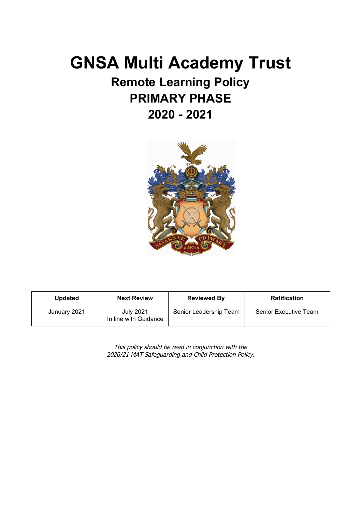# **GNSA Multi Academy Trust**

# **Remote Learning Policy PRIMARY PHASE 2020 - 2021**



| <b>Updated</b> | <b>Next Review</b>                        | <b>Reviewed By</b>     | <b>Ratification</b>   |
|----------------|-------------------------------------------|------------------------|-----------------------|
| January 2021   | <b>July 2021</b><br>In line with Guidance | Senior Leadership Team | Senior Executive Team |

This policy should be read in conjunction with the 2020/21 MAT Safeguarding and Child Protection Policy.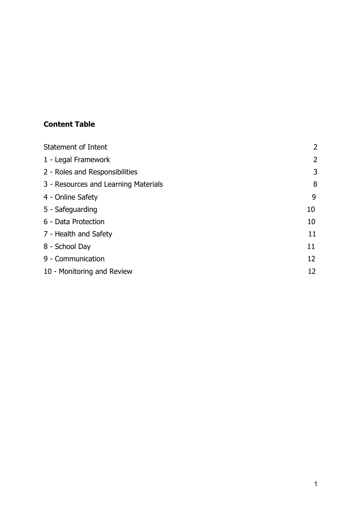## **Content Table**

| <b>Statement of Intent</b>           | $\overline{2}$ |
|--------------------------------------|----------------|
| 1 - Legal Framework                  | $\overline{2}$ |
| 2 - Roles and Responsibilities       | 3              |
| 3 - Resources and Learning Materials | 8              |
| 4 - Online Safety                    | 9              |
| 5 - Safeguarding                     | 10             |
| 6 - Data Protection                  | 10             |
| 7 - Health and Safety                | 11             |
| 8 - School Day                       | 11             |
| 9 - Communication                    | 12             |
| 10 - Monitoring and Review           |                |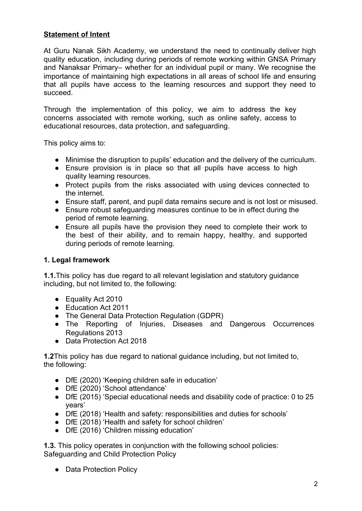#### **Statement of Intent**

At Guru Nanak Sikh Academy, we understand the need to continually deliver high quality education, including during periods of remote working within GNSA Primary and Nanaksar Primary– whether for an individual pupil or many. We recognise the importance of maintaining high expectations in all areas of school life and ensuring that all pupils have access to the learning resources and support they need to succeed.

Through the implementation of this policy, we aim to address the key concerns associated with remote working, such as online safety, access to educational resources, data protection, and safeguarding.

This policy aims to:

- Minimise the disruption to pupils' education and the delivery of the curriculum.
- Ensure provision is in place so that all pupils have access to high quality learning resources.
- Protect pupils from the risks associated with using devices connected to the internet.
- Ensure staff, parent, and pupil data remains secure and is not lost or misused.
- Ensure robust safeguarding measures continue to be in effect during the period of remote learning.
- Ensure all pupils have the provision they need to complete their work to the best of their ability, and to remain happy, healthy, and supported during periods of remote learning.

#### **1. Legal framework**

**1.1.**This policy has due regard to all relevant legislation and statutory guidance including, but not limited to, the following:

- Equality Act 2010
- Education Act 2011
- The General Data Protection Regulation (GDPR)
- The Reporting of Injuries, Diseases and Dangerous Occurrences Regulations 2013
- Data Protection Act 2018

**1.2**This policy has due regard to national guidance including, but not limited to, the following:

- DfE (2020) 'Keeping children safe in education'
- DfE (2020) 'School attendance'
- DfE (2015) 'Special educational needs and disability code of practice: 0 to 25 years'
- DfE (2018) 'Health and safety: responsibilities and duties for schools'
- DfE (2018) 'Health and safety for school children'
- DfE (2016) 'Children missing education'

**1.3.** This policy operates in conjunction with the following school policies: Safeguarding and Child Protection Policy

• Data Protection Policy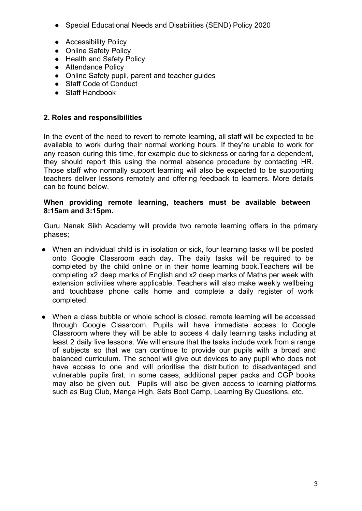- Special Educational Needs and Disabilities (SEND) Policy 2020
- Accessibility Policy
- Online Safety Policy
- Health and Safety Policy
- Attendance Policy
- Online Safety pupil, parent and teacher guides
- Staff Code of Conduct
- Staff Handbook

#### **2. Roles and responsibilities**

In the event of the need to revert to remote learning, all staff will be expected to be available to work during their normal working hours. If they're unable to work for any reason during this time, for example due to sickness or caring for a dependent, they should report this using the normal absence procedure by contacting HR. Those staff who normally support learning will also be expected to be supporting teachers deliver lessons remotely and offering feedback to learners. More details can be found below.

#### **When providing remote learning, teachers must be available between 8:15am and 3:15pm.**

Guru Nanak Sikh Academy will provide two remote learning offers in the primary phases;

- When an individual child is in isolation or sick, four learning tasks will be posted onto Google Classroom each day. The daily tasks will be required to be completed by the child online or in their home learning book.Teachers will be completing x2 deep marks of English and x2 deep marks of Maths per week with extension activities where applicable. Teachers will also make weekly wellbeing and touchbase phone calls home and complete a daily register of work completed.
- When a class bubble or whole school is closed, remote learning will be accessed through Google Classroom. Pupils will have immediate access to Google Classroom where they will be able to access 4 daily learning tasks including at least 2 daily live lessons. We will ensure that the tasks include work from a range of subjects so that we can continue to provide our pupils with a broad and balanced curriculum. The school will give out devices to any pupil who does not have access to one and will prioritise the distribution to disadvantaged and vulnerable pupils first. In some cases, additional paper packs and CGP books may also be given out. Pupils will also be given access to learning platforms such as Bug Club, Manga High, Sats Boot Camp, Learning By Questions, etc.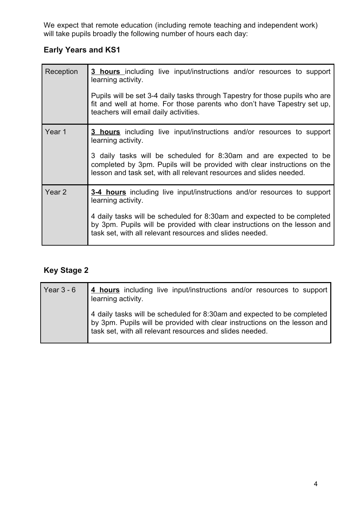We expect that remote education (including remote teaching and independent work) will take pupils broadly the following number of hours each day:

## **Early Years and KS1**

| Reception         | <b>3 hours</b> including live input/instructions and/or resources to support<br>learning activity.                                                                                                                   |
|-------------------|----------------------------------------------------------------------------------------------------------------------------------------------------------------------------------------------------------------------|
|                   | Pupils will be set 3-4 daily tasks through Tapestry for those pupils who are<br>fit and well at home. For those parents who don't have Tapestry set up,<br>teachers will email daily activities.                     |
| Year 1            | <b>3 hours</b> including live input/instructions and/or resources to support<br>learning activity.                                                                                                                   |
|                   | 3 daily tasks will be scheduled for 8:30am and are expected to be<br>completed by 3pm. Pupils will be provided with clear instructions on the<br>lesson and task set, with all relevant resources and slides needed. |
| Year <sub>2</sub> | 3-4 hours including live input/instructions and/or resources to support<br>learning activity.                                                                                                                        |
|                   | 4 daily tasks will be scheduled for 8:30am and expected to be completed<br>by 3pm. Pupils will be provided with clear instructions on the lesson and<br>task set, with all relevant resources and slides needed.     |

# **Key Stage 2**

| Year $3 - 6$ | 4 hours including live input/instructions and/or resources to support<br>learning activity.                                                                                                                      |
|--------------|------------------------------------------------------------------------------------------------------------------------------------------------------------------------------------------------------------------|
|              | 4 daily tasks will be scheduled for 8:30am and expected to be completed<br>by 3pm. Pupils will be provided with clear instructions on the lesson and<br>task set, with all relevant resources and slides needed. |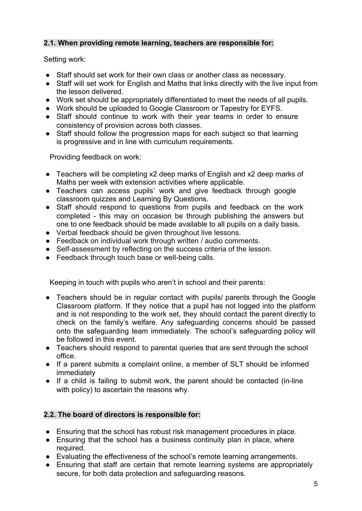#### **2.1. When providing remote learning, teachers are responsible for:**

Setting work:

- Staff should set work for their own class or another class as necessary.
- Staff will set work for English and Maths that links directly with the live input from the lesson delivered.
- Work set should be appropriately differentiated to meet the needs of all pupils.
- Work should be uploaded to Google Classroom or Tapestry for EYFS.
- Staff should continue to work with their year teams in order to ensure consistency of provision across both classes.
- Staff should follow the progression maps for each subject so that learning is progressive and in line with curriculum requirements.

Providing feedback on work:

- Teachers will be completing x2 deep marks of English and x2 deep marks of Maths per week with extension activities where applicable.
- Teachers can access pupils' work and give feedback through google classroom quizzes and Learning By Questions.
- Staff should respond to questions from pupils and feedback on the work completed - this may on occasion be through publishing the answers but one to one feedback should be made available to all pupils on a daily basis.
- Verbal feedback should be given throughout live lessons.
- Feedback on individual work through written / audio comments.
- Self-assessment by reflecting on the success criteria of the lesson.
- Feedback through touch base or well-being calls.

Keeping in touch with pupils who aren't in school and their parents:

- Teachers should be in regular contact with pupils/ parents through the Google Classroom platform. If they notice that a pupil has not logged into the platform and is not responding to the work set, they should contact the parent directly to check on the family's welfare. Any safeguarding concerns should be passed onto the safeguarding team immediately. The school's safeguarding policy will be followed in this event.
- Teachers should respond to parental queries that are sent through the school office.
- If a parent submits a complaint online, a member of SLT should be informed immediately
- If a child is failing to submit work, the parent should be contacted (in-line with policy) to ascertain the reasons why.

#### **2.2. The board of directors is responsible for:**

- Ensuring that the school has robust risk management procedures in place.
- Ensuring that the school has a business continuity plan in place, where required.
- Evaluating the effectiveness of the school's remote learning arrangements.
- Ensuring that staff are certain that remote learning systems are appropriately secure, for both data protection and safeguarding reasons.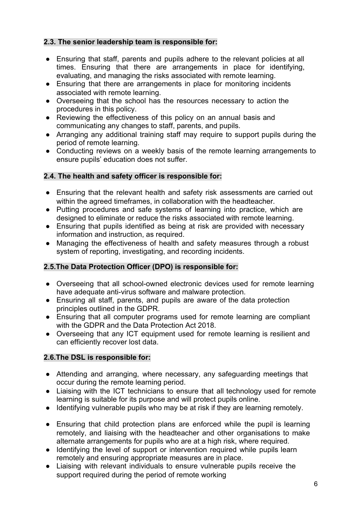#### **2.3. The senior leadership team is responsible for:**

- Ensuring that staff, parents and pupils adhere to the relevant policies at all times. Ensuring that there are arrangements in place for identifying, evaluating, and managing the risks associated with remote learning.
- Ensuring that there are arrangements in place for monitoring incidents associated with remote learning.
- Overseeing that the school has the resources necessary to action the procedures in this policy.
- Reviewing the effectiveness of this policy on an annual basis and communicating any changes to staff, parents, and pupils.
- Arranging any additional training staff may require to support pupils during the period of remote learning.
- Conducting reviews on a weekly basis of the remote learning arrangements to ensure pupils' education does not suffer.

#### **2.4. The health and safety officer is responsible for:**

- Ensuring that the relevant health and safety risk assessments are carried out within the agreed timeframes, in collaboration with the headteacher.
- Putting procedures and safe systems of learning into practice, which are designed to eliminate or reduce the risks associated with remote learning.
- Ensuring that pupils identified as being at risk are provided with necessary information and instruction, as required.
- Managing the effectiveness of health and safety measures through a robust system of reporting, investigating, and recording incidents.

#### **2.5.The Data Protection Officer (DPO) is responsible for:**

- Overseeing that all school-owned electronic devices used for remote learning have adequate anti-virus software and malware protection.
- Ensuring all staff, parents, and pupils are aware of the data protection principles outlined in the GDPR.
- Ensuring that all computer programs used for remote learning are compliant with the GDPR and the Data Protection Act 2018.
- Overseeing that any ICT equipment used for remote learning is resilient and can efficiently recover lost data.

#### **2.6.The DSL is responsible for:**

- Attending and arranging, where necessary, any safeguarding meetings that occur during the remote learning period.
- Liaising with the ICT technicians to ensure that all technology used for remote learning is suitable for its purpose and will protect pupils online.
- Identifying vulnerable pupils who may be at risk if they are learning remotely.
- Ensuring that child protection plans are enforced while the pupil is learning remotely, and liaising with the headteacher and other organisations to make alternate arrangements for pupils who are at a high risk, where required.
- Identifying the level of support or intervention required while pupils learn remotely and ensuring appropriate measures are in place.
- Liaising with relevant individuals to ensure vulnerable pupils receive the support required during the period of remote working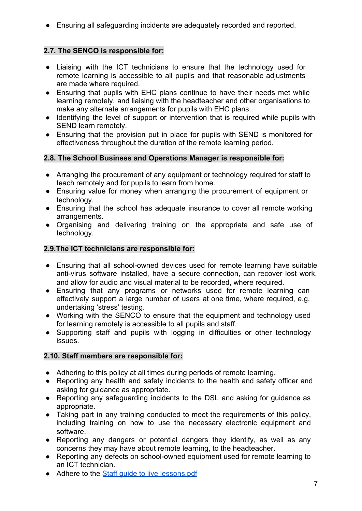● Ensuring all safeguarding incidents are adequately recorded and reported.

#### **2.7. The SENCO is responsible for:**

- Liaising with the ICT technicians to ensure that the technology used for remote learning is accessible to all pupils and that reasonable adjustments are made where required.
- Ensuring that pupils with EHC plans continue to have their needs met while learning remotely, and liaising with the headteacher and other organisations to make any alternate arrangements for pupils with EHC plans.
- Identifying the level of support or intervention that is required while pupils with SEND learn remotely.
- Ensuring that the provision put in place for pupils with SEND is monitored for effectiveness throughout the duration of the remote learning period.

#### **2.8. The School Business and Operations Manager is responsible for:**

- Arranging the procurement of any equipment or technology required for staff to teach remotely and for pupils to learn from home.
- Ensuring value for money when arranging the procurement of equipment or technology.
- Ensuring that the school has adequate insurance to cover all remote working arrangements.
- Organising and delivering training on the appropriate and safe use of technology.

#### **2.9.The ICT technicians are responsible for:**

- Ensuring that all school-owned devices used for remote learning have suitable anti-virus software installed, have a secure connection, can recover lost work, and allow for audio and visual material to be recorded, where required.
- Ensuring that any programs or networks used for remote learning can effectively support a large number of users at one time, where required, e.g. undertaking 'stress' testing.
- Working with the SENCO to ensure that the equipment and technology used for learning remotely is accessible to all pupils and staff.
- Supporting staff and pupils with logging in difficulties or other technology issues.

#### **2.10. Staff members are responsible for:**

- Adhering to this policy at all times during periods of remote learning.
- Reporting any health and safety incidents to the health and safety officer and asking for guidance as appropriate.
- Reporting any safeguarding incidents to the DSL and asking for guidance as appropriate.
- Taking part in any training conducted to meet the requirements of this policy, including training on how to use the necessary electronic equipment and software.
- Reporting any dangers or potential dangers they identify, as well as any concerns they may have about remote learning, to the headteacher.
- Reporting any defects on school-owned equipment used for remote learning to an ICT technician.
- Adhere to the Staff quide to live lessons.pdf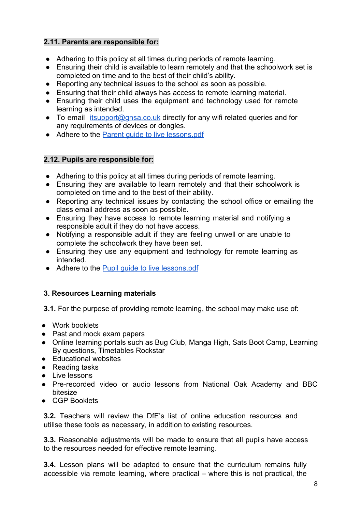#### **2.11. Parents are responsible for:**

- Adhering to this policy at all times during periods of remote learning.
- Ensuring their child is available to learn remotely and that the schoolwork set is completed on time and to the best of their child's ability.
- Reporting any technical issues to the school as soon as possible.
- Ensuring that their child always has access to remote learning material.
- Ensuring their child uses the equipment and technology used for remote learning as intended.
- To email *[itsupport@gnsa.co.uk](mailto:itsupport@gnsa.co.uk)* directly for any wifi related queries and for any requirements of devices or dongles.
- Adhere to the Parent quide to live lessons.pdf

#### **2.12. Pupils are responsible for:**

- Adhering to this policy at all times during periods of remote learning.
- Ensuring they are available to learn remotely and that their schoolwork is completed on time and to the best of their ability.
- Reporting any technical issues by contacting the school office or emailing the class email address as soon as possible.
- Ensuring they have access to remote learning material and notifying a responsible adult if they do not have access.
- Notifying a responsible adult if they are feeling unwell or are unable to complete the schoolwork they have been set.
- Ensuring they use any equipment and technology for remote learning as intended.
- Adhere to the **[Pupil guide to live lessons.pdf](https://drive.google.com/file/d/1-8-DD2KkjBGBUwys6objTVm9jcd5klf6/view?usp=sharing)**

#### **3. Resources Learning materials**

**3.1.** For the purpose of providing remote learning, the school may make use of:

- Work booklets
- Past and mock exam papers
- Online learning portals such as Bug Club, Manga High, Sats Boot Camp, Learning By questions, Timetables Rockstar
- Educational websites
- Reading tasks
- Live lessons
- Pre-recorded video or audio lessons from National Oak Academy and BBC bitesize
- CGP Booklets

**3.2.** Teachers will review the DfE's list of online education resources and utilise these tools as necessary, in addition to existing resources.

**3.3.** Reasonable adjustments will be made to ensure that all pupils have access to the resources needed for effective remote learning.

**3.4.** Lesson plans will be adapted to ensure that the curriculum remains fully accessible via remote learning, where practical – where this is not practical, the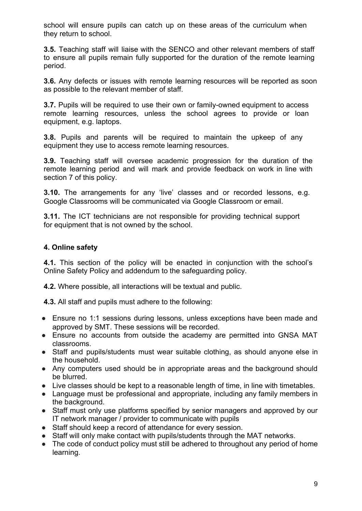school will ensure pupils can catch up on these areas of the curriculum when they return to school.

**3.5.** Teaching staff will liaise with the SENCO and other relevant members of staff to ensure all pupils remain fully supported for the duration of the remote learning period.

**3.6.** Any defects or issues with remote learning resources will be reported as soon as possible to the relevant member of staff.

**3.7.** Pupils will be required to use their own or family-owned equipment to access remote learning resources, unless the school agrees to provide or loan equipment, e.g. laptops.

**3.8.** Pupils and parents will be required to maintain the upkeep of any equipment they use to access remote learning resources.

**3.9.** Teaching staff will oversee academic progression for the duration of the remote learning period and will mark and provide feedback on work in line with section 7 of this policy.

**3.10.** The arrangements for any 'live' classes and or recorded lessons, e.g. Google Classrooms will be communicated via Google Classroom or email.

**3.11.** The ICT technicians are not responsible for providing technical support for equipment that is not owned by the school.

#### **4. Online safety**

**4.1.** This section of the policy will be enacted in conjunction with the school's Online Safety Policy and addendum to the safeguarding policy.

**4.2.** Where possible, all interactions will be textual and public.

**4.3.** All staff and pupils must adhere to the following:

- Ensure no 1:1 sessions during lessons, unless exceptions have been made and approved by SMT. These sessions will be recorded.
- Ensure no accounts from outside the academy are permitted into GNSA MAT classrooms.
- Staff and pupils/students must wear suitable clothing, as should anyone else in the household.
- Any computers used should be in appropriate areas and the background should be blurred.
- Live classes should be kept to a reasonable length of time, in line with timetables.
- Language must be professional and appropriate, including any family members in the background.
- Staff must only use platforms specified by senior managers and approved by our IT network manager / provider to communicate with pupils
- Staff should keep a record of attendance for every session.
- Staff will only make contact with pupils/students through the MAT networks.
- The code of conduct policy must still be adhered to throughout any period of home learning.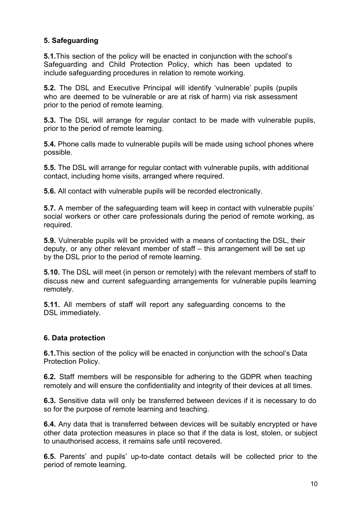#### **5. Safeguarding**

**5.1.**This section of the policy will be enacted in conjunction with the school's Safeguarding and Child Protection Policy, which has been updated to include safeguarding procedures in relation to remote working.

**5.2.** The DSL and Executive Principal will identify 'vulnerable' pupils (pupils who are deemed to be vulnerable or are at risk of harm) via risk assessment prior to the period of remote learning.

**5.3.** The DSL will arrange for regular contact to be made with vulnerable pupils, prior to the period of remote learning.

**5.4.** Phone calls made to vulnerable pupils will be made using school phones where possible.

**5.5.** The DSL will arrange for regular contact with vulnerable pupils, with additional contact, including home visits, arranged where required.

**5.6.** All contact with vulnerable pupils will be recorded electronically.

**5.7.** A member of the safeguarding team will keep in contact with vulnerable pupils' social workers or other care professionals during the period of remote working, as required.

**5.9.** Vulnerable pupils will be provided with a means of contacting the DSL, their deputy, or any other relevant member of staff – this arrangement will be set up by the DSL prior to the period of remote learning.

**5.10.** The DSL will meet (in person or remotely) with the relevant members of staff to discuss new and current safeguarding arrangements for vulnerable pupils learning remotely.

**5.11.** All members of staff will report any safeguarding concerns to the DSL immediately.

#### **6. Data protection**

**6.1.**This section of the policy will be enacted in conjunction with the school's Data Protection Policy.

**6.2.** Staff members will be responsible for adhering to the GDPR when teaching remotely and will ensure the confidentiality and integrity of their devices at all times.

**6.3.** Sensitive data will only be transferred between devices if it is necessary to do so for the purpose of remote learning and teaching.

**6.4.** Any data that is transferred between devices will be suitably encrypted or have other data protection measures in place so that if the data is lost, stolen, or subject to unauthorised access, it remains safe until recovered.

**6.5.** Parents' and pupils' up-to-date contact details will be collected prior to the period of remote learning.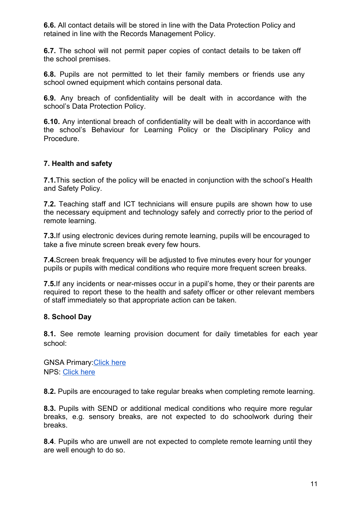**6.6.** All contact details will be stored in line with the Data Protection Policy and retained in line with the Records Management Policy.

**6.7.** The school will not permit paper copies of contact details to be taken off the school premises.

**6.8.** Pupils are not permitted to let their family members or friends use any school owned equipment which contains personal data.

**6.9.** Any breach of confidentiality will be dealt with in accordance with the school's Data Protection Policy.

**6.10.** Any intentional breach of confidentiality will be dealt with in accordance with the school's Behaviour for Learning Policy or the Disciplinary Policy and Procedure.

#### **7. Health and safety**

**7.1.** This section of the policy will be enacted in conjunction with the school's Health and Safety Policy.

**7.2.** Teaching staff and ICT technicians will ensure pupils are shown how to use the necessary equipment and technology safely and correctly prior to the period of remote learning.

**7.3.**If using electronic devices during remote learning, pupils will be encouraged to take a five minute screen break every few hours.

**7.4.**Screen break frequency will be adjusted to five minutes every hour for younger pupils or pupils with medical conditions who require more frequent screen breaks.

**7.5.**If any incidents or near-misses occur in a pupil's home, they or their parents are required to report these to the health and safety officer or other relevant members of staff immediately so that appropriate action can be taken.

#### **8. School Day**

**8.1.** See remote learning provision document for daily timetables for each year school:

**GNSA Primary Click here** NPS: [Click here](https://drive.google.com/file/d/1Sjvn4CO4W7HZcrlHIcSkF7l82_tqAD1F/view?usp=sharing)

**8.2.** Pupils are encouraged to take regular breaks when completing remote learning.

**8.3.** Pupils with SEND or additional medical conditions who require more requiar breaks, e.g. sensory breaks, are not expected to do schoolwork during their breaks.

**8.4**. Pupils who are unwell are not expected to complete remote learning until they are well enough to do so.